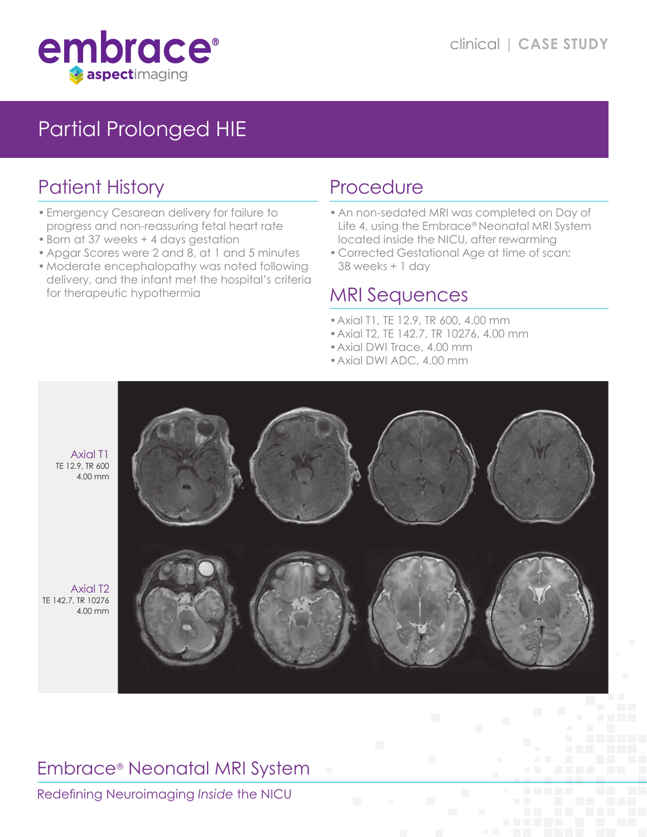

# Partial Prolonged HIE

## Patient History

- •Emergency Cesarean delivery for failure to progress and non-reassuring fetal heart rate
- •Born at 37 weeks + 4 days gestation
- Apgar Scores were 2 and 8, at 1 and 5 minutes
- •Moderate encephalopathy was noted following delivery, and the infant met the hospital's criteria for therapeutic hypothermia

### Procedure

- An non-sedated MRI was completed on Day of Life 4, using the Embrace® Neonatal MRI System located inside the NICU, after rewarming
- Corrected Gestational Age at time of scan: 38 weeks + 1 day

#### MRI Sequences

- •Axial T1, TE 12.9, TR 600, 4.00 mm
- •Axial T2, TE 142.7, TR 10276, 4.00 mm
- •Axial DWI Trace, 4.00 mm
- •Axial DWI ADC, 4.00 mm



#### Embrace® Neonatal MRI System

Redefining Neuroimaging *Inside* the NICU